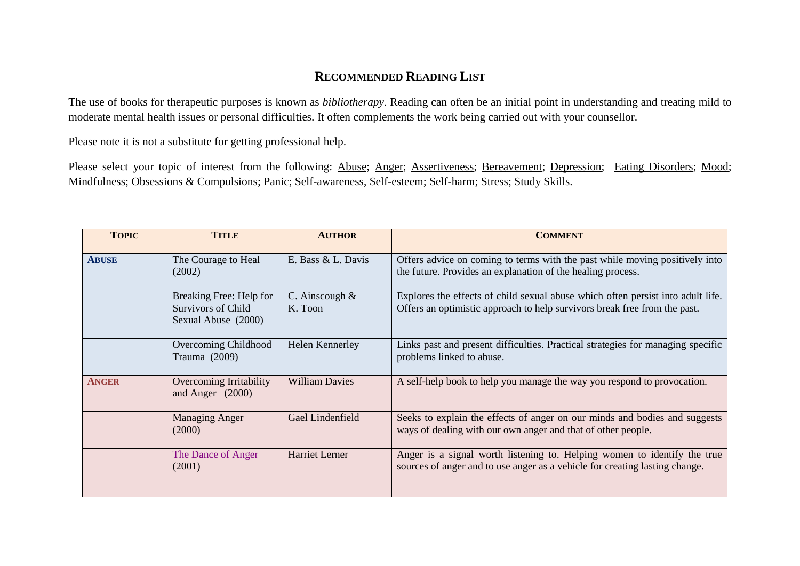## **RECOMMENDED READING LIST**

The use of books for therapeutic purposes is known as *bibliotherapy*. Reading can often be an initial point in understanding and treating mild to moderate mental health issues or personal difficulties. It often complements the work being carried out with your counsellor.

Please note it is not a substitute for getting professional help.

Please select your topic of interest from the following: Abuse; Anger; Assertiveness; Bereavement; Depression; Eating Disorders; Mood; Mindfulness; Obsessions & Compulsions; Panic; Self-awareness, Self-esteem; Self-harm; Stress; Study Skills.

| <b>TOPIC</b> | <b>TITLE</b>                                                         | <b>AUTHOR</b>               | <b>COMMENT</b>                                                                                                                                               |
|--------------|----------------------------------------------------------------------|-----------------------------|--------------------------------------------------------------------------------------------------------------------------------------------------------------|
| <b>ABUSE</b> | The Courage to Heal<br>(2002)                                        | E. Bass & L. Davis          | Offers advice on coming to terms with the past while moving positively into<br>the future. Provides an explanation of the healing process.                   |
|              | Breaking Free: Help for<br>Survivors of Child<br>Sexual Abuse (2000) | C. Ainscough $&$<br>K. Toon | Explores the effects of child sexual abuse which often persist into adult life.<br>Offers an optimistic approach to help survivors break free from the past. |
|              | Overcoming Childhood<br>Trauma (2009)                                | Helen Kennerley             | Links past and present difficulties. Practical strategies for managing specific<br>problems linked to abuse.                                                 |
| <b>ANGER</b> | Overcoming Irritability<br>and Anger $(2000)$                        | <b>William Davies</b>       | A self-help book to help you manage the way you respond to provocation.                                                                                      |
|              | <b>Managing Anger</b><br>(2000)                                      | Gael Lindenfield            | Seeks to explain the effects of anger on our minds and bodies and suggests<br>ways of dealing with our own anger and that of other people.                   |
|              | The Dance of Anger<br>(2001)                                         | <b>Harriet Lerner</b>       | Anger is a signal worth listening to. Helping women to identify the true<br>sources of anger and to use anger as a vehicle for creating lasting change.      |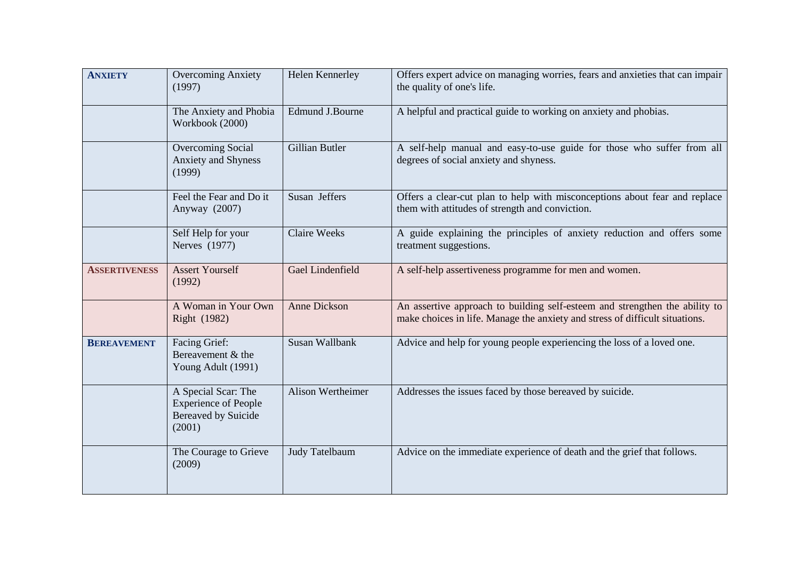| <b>ANXIETY</b>       | <b>Overcoming Anxiety</b><br>(1997)                                                        | Helen Kennerley          | Offers expert advice on managing worries, fears and anxieties that can impair<br>the quality of one's life.                                                 |
|----------------------|--------------------------------------------------------------------------------------------|--------------------------|-------------------------------------------------------------------------------------------------------------------------------------------------------------|
|                      | The Anxiety and Phobia<br>Workbook (2000)                                                  | Edmund J.Bourne          | A helpful and practical guide to working on anxiety and phobias.                                                                                            |
|                      | Overcoming Social<br>Anxiety and Shyness<br>(1999)                                         | Gillian Butler           | A self-help manual and easy-to-use guide for those who suffer from all<br>degrees of social anxiety and shyness.                                            |
|                      | Feel the Fear and Do it<br>Anyway (2007)                                                   | Susan Jeffers            | Offers a clear-cut plan to help with misconceptions about fear and replace<br>them with attitudes of strength and conviction.                               |
|                      | Self Help for your<br>Nerves (1977)                                                        | <b>Claire Weeks</b>      | A guide explaining the principles of anxiety reduction and offers some<br>treatment suggestions.                                                            |
| <b>ASSERTIVENESS</b> | <b>Assert Yourself</b><br>(1992)                                                           | Gael Lindenfield         | A self-help assertiveness programme for men and women.                                                                                                      |
|                      | A Woman in Your Own<br>Right (1982)                                                        | Anne Dickson             | An assertive approach to building self-esteem and strengthen the ability to<br>make choices in life. Manage the anxiety and stress of difficult situations. |
| <b>BEREAVEMENT</b>   | Facing Grief:<br>Bereavement & the<br>Young Adult (1991)                                   | Susan Wallbank           | Advice and help for young people experiencing the loss of a loved one.                                                                                      |
|                      | A Special Scar: The<br><b>Experience of People</b><br><b>Bereaved by Suicide</b><br>(2001) | <b>Alison Wertheimer</b> | Addresses the issues faced by those bereaved by suicide.                                                                                                    |
|                      | The Courage to Grieve<br>(2009)                                                            | Judy Tatelbaum           | Advice on the immediate experience of death and the grief that follows.                                                                                     |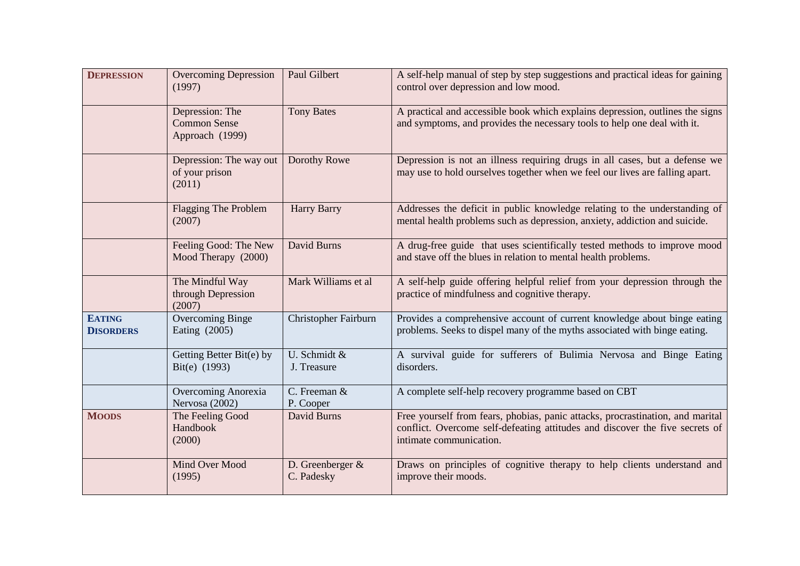| <b>DEPRESSION</b>                 | <b>Overcoming Depression</b><br>(1997)                    | Paul Gilbert                     | A self-help manual of step by step suggestions and practical ideas for gaining<br>control over depression and low mood.                                                                   |
|-----------------------------------|-----------------------------------------------------------|----------------------------------|-------------------------------------------------------------------------------------------------------------------------------------------------------------------------------------------|
|                                   | Depression: The<br><b>Common Sense</b><br>Approach (1999) | <b>Tony Bates</b>                | A practical and accessible book which explains depression, outlines the signs<br>and symptoms, and provides the necessary tools to help one deal with it.                                 |
|                                   | Depression: The way out<br>of your prison<br>(2011)       | Dorothy Rowe                     | Depression is not an illness requiring drugs in all cases, but a defense we<br>may use to hold ourselves together when we feel our lives are falling apart.                               |
|                                   | <b>Flagging The Problem</b><br>(2007)                     | <b>Harry Barry</b>               | Addresses the deficit in public knowledge relating to the understanding of<br>mental health problems such as depression, anxiety, addiction and suicide.                                  |
|                                   | Feeling Good: The New<br>Mood Therapy (2000)              | David Burns                      | A drug-free guide that uses scientifically tested methods to improve mood<br>and stave off the blues in relation to mental health problems.                                               |
|                                   | The Mindful Way<br>through Depression<br>(2007)           | Mark Williams et al              | A self-help guide offering helpful relief from your depression through the<br>practice of mindfulness and cognitive therapy.                                                              |
| <b>EATING</b><br><b>DISORDERS</b> | <b>Overcoming Binge</b><br>Eating (2005)                  | Christopher Fairburn             | Provides a comprehensive account of current knowledge about binge eating<br>problems. Seeks to dispel many of the myths associated with binge eating.                                     |
|                                   | Getting Better Bit(e) by<br>Bit(e) (1993)                 | U. Schmidt &<br>J. Treasure      | A survival guide for sufferers of Bulimia Nervosa and Binge Eating<br>disorders.                                                                                                          |
|                                   | Overcoming Anorexia<br>Nervosa (2002)                     | C. Freeman &<br>P. Cooper        | A complete self-help recovery programme based on CBT                                                                                                                                      |
| <b>MOODS</b>                      | The Feeling Good<br>Handbook<br>(2000)                    | David Burns                      | Free yourself from fears, phobias, panic attacks, procrastination, and marital<br>conflict. Overcome self-defeating attitudes and discover the five secrets of<br>intimate communication. |
|                                   | Mind Over Mood<br>(1995)                                  | D. Greenberger $&$<br>C. Padesky | Draws on principles of cognitive therapy to help clients understand and<br>improve their moods.                                                                                           |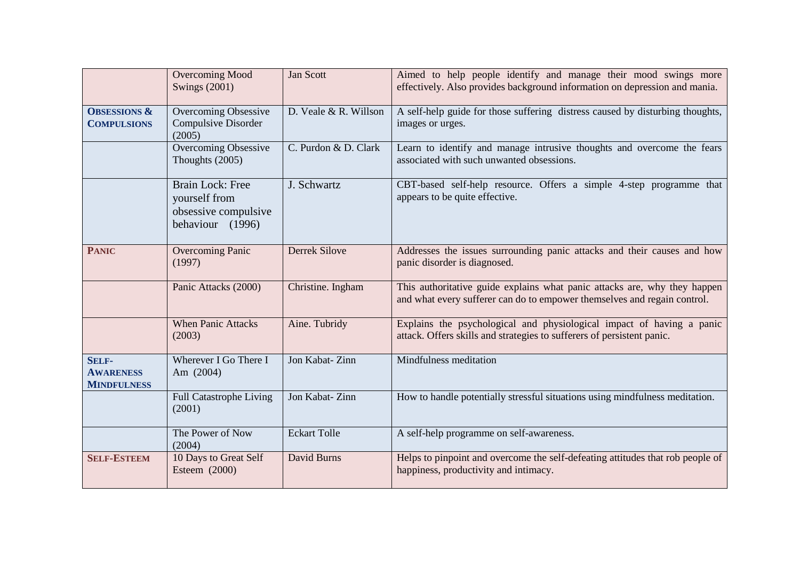|                                                        | <b>Overcoming Mood</b><br><b>Swings (2001)</b>                                       | Jan Scott             | Aimed to help people identify and manage their mood swings more<br>effectively. Also provides background information on depression and mania.         |
|--------------------------------------------------------|--------------------------------------------------------------------------------------|-----------------------|-------------------------------------------------------------------------------------------------------------------------------------------------------|
| <b>OBSESSIONS &amp;</b><br><b>COMPULSIONS</b>          | Overcoming Obsessive<br>Compulsive Disorder<br>(2005)                                | D. Veale & R. Willson | A self-help guide for those suffering distress caused by disturbing thoughts,<br>images or urges.                                                     |
|                                                        | Overcoming Obsessive<br>Thoughts (2005)                                              | C. Purdon & D. Clark  | Learn to identify and manage intrusive thoughts and overcome the fears<br>associated with such unwanted obsessions.                                   |
|                                                        | <b>Brain Lock: Free</b><br>yourself from<br>obsessive compulsive<br>behaviour (1996) | J. Schwartz           | CBT-based self-help resource. Offers a simple 4-step programme that<br>appears to be quite effective.                                                 |
| <b>PANIC</b>                                           | <b>Overcoming Panic</b><br>(1997)                                                    | <b>Derrek Silove</b>  | Addresses the issues surrounding panic attacks and their causes and how<br>panic disorder is diagnosed.                                               |
|                                                        | Panic Attacks (2000)                                                                 | Christine. Ingham     | This authoritative guide explains what panic attacks are, why they happen<br>and what every sufferer can do to empower themselves and regain control. |
|                                                        | <b>When Panic Attacks</b><br>(2003)                                                  | Aine. Tubridy         | Explains the psychological and physiological impact of having a panic<br>attack. Offers skills and strategies to sufferers of persistent panic.       |
| <b>SELF-</b><br><b>AWARENESS</b><br><b>MINDFULNESS</b> | Wherever I Go There I<br>Am (2004)                                                   | Jon Kabat-Zinn        | Mindfulness meditation                                                                                                                                |
|                                                        | <b>Full Catastrophe Living</b><br>(2001)                                             | Jon Kabat-Zinn        | How to handle potentially stressful situations using mindfulness meditation.                                                                          |
|                                                        | The Power of Now<br>(2004)                                                           | <b>Eckart Tolle</b>   | A self-help programme on self-awareness.                                                                                                              |
| <b>SELF-ESTEEM</b>                                     | 10 Days to Great Self<br>Esteem (2000)                                               | David Burns           | Helps to pinpoint and overcome the self-defeating attitudes that rob people of<br>happiness, productivity and intimacy.                               |